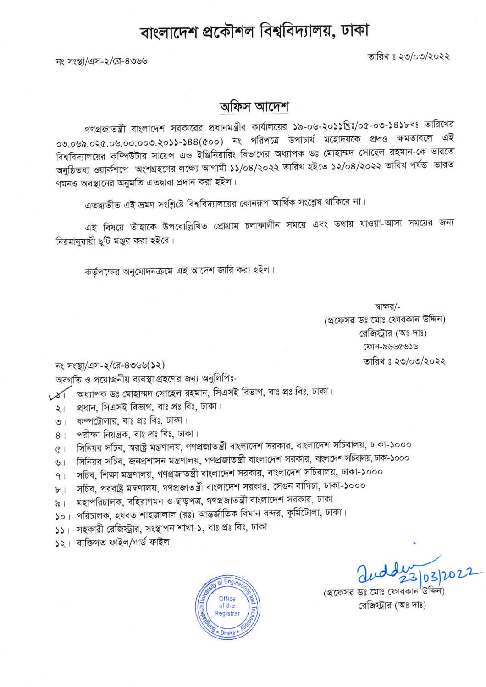## বাংলাদেশ প্রকৌশল বিশ্ববিদ্যালয়, ঢাকা

তারিখ ঃ ২৩/০৩/২০২২

নং সংস্থা/এস-২/রে-৪৩৬৬

## অফিস আদেশ

গণপ্রজাতন্ত্রী বাংলাদেশ সরকারের প্রধানমন্ত্রীর কার্যালয়ের ১৯-০৬-২০১১খ্রিঃ/০৫-০৩-১৪১৮বঃ তারিখের ০৩.০৬৯.০২৫.০৬.০০.০০৩.২০১১-১৪৪(৫০০) নং পরিপত্রে উপাচার্য মহোদয়কে প্রদত্ত ক্ষমতাবলে এই বিশ্ববিদ্যালয়ের কম্পিউটার সায়েন্স এন্ড ইঞ্জিনিয়ারিং বিভাগের অধ্যাপক ডঃ মোহাম্মদ সোহেল রহমান-কে ভারতে অনুষ্ঠিতব্য ওয়ার্কশপে অংশগ্রহণের লক্ষ্যে আগামী ১১/০৪/২০২২ তারিখ হইতে ১২/০৪/২০২২ তারিখ পর্যন্ত ভারত গমনও অবস্থানের অনুমতি এতদ্বারা প্রদান করা হইল।

এতদ্ব্যতীত এই ভ্রমণ সংশ্লিষ্টে বিশ্ববিদ্যালয়ের কোনরূপ আর্থিক সংশ্লেষ থাকিবে না।

এই বিষয়ে তাঁহাকে উপরোল্লিখিত প্রোগ্রাম চলাকালীন সময়ে এবং তথায় যাওয়া-আসা সময়ের জন্য নিয়মানযায়ী ছটি মঞ্জুর করা হইবে।

কর্তৃপক্ষের অনুমোদনক্রমে এই আদেশ জারি করা হইল।

স্বাক্ষর/-(প্রফেসর ডঃ মোঃ ফোরকান উদ্দিন) রেজিস্ট্রার (অঃ দাঃ) ফোন-৯৬৬৫৬১৬ তারিখ ঃ ২৩/০৩/২০২২

নং সংস্থা/এস-২/রে-৪৩৬৬(১২)

অবগতি ও প্রয়োজনীয় ব্যবস্থা গ্রহণের জন্য অনুলিপিঃ-

অধ্যাপক ডঃ মোহাম্মদ সোহেল রহমান, সিএসই বিভাগ, বাঃ প্রঃ বিঃ, ঢাকা।

প্ৰধান, সিএসই বিভাগ, বাঃ প্ৰঃ বিঃ, ঢাকা।  $\geq 1$ 

কম্পট্রোলার, বাঃ প্রঃ বিঃ, ঢাকা।  $\circ$  |

পরীক্ষা নিয়ন্ত্রক, বাঃ প্রঃ বিঃ, ঢাকা।  $8<sup>1</sup>$ 

সিনিয়র সচিব, স্বরাষ্ট্র মন্ত্রণালয়, গণপ্রজাতন্ত্রী বাংলাদেশ সরকার, বাংলাদেশ সচিবালয়, ঢাকা-১০০০  $(8)$ 

সিনিয়র সচিব, জনপ্রশাসন মন্ত্রণালয়, গণপ্রজাতন্ত্রী বাংলাদেশ সরকার, বাংলাদেশ সচিবলয়,ঢাকা-১০০০  $\overline{u}$ 

সচিব, শিক্ষা মন্ত্রণালয়, গণপ্রজাতন্ত্রী বাংলাদেশ সরকার, বাংলাদেশ সচিবালয়, ঢাকা-১০০০  $9<sub>1</sub>$ 

সচিব, পররাষ্ট্র মন্ত্রণালয়, গণপ্রজাতন্ত্রী বাংলাদেশ সরকার, সেগুন বাগিচা, ঢাকা-১০০০  $b$  |

মহাপরিচালক, বহিরাগমন ও ছাড়পত্র, গণপ্রজাতন্ত্রী বাংলাদেশ সরকার, ঢাকা।  $\frac{1}{2}$ 

১০। পরিচালক, হযরত শাহজালাল (রঃ) আন্তর্জাতিক বিমান বন্দর, কূর্মিটোলা, ঢাকা।

১১। সহকারী রেজিস্ট্রার, সংস্থাপন শাখা-১, বাঃ প্রঃ বিঃ, ঢাকা।

১২। ব্যক্তিগত ফাইল/গাৰ্ড ফাইল



3/03/202

(প্রফেসর ডঃ মোঃ ফোরকান উদ্দিন রেজিস্টার (অঃ দাঃ)